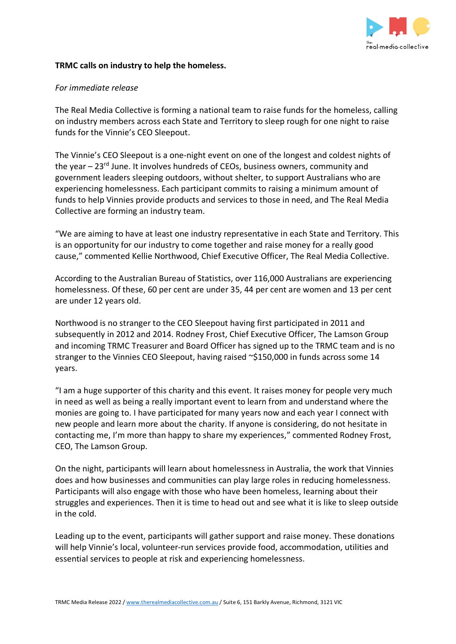

# **TRMC calls on industry to help the homeless.**

# *For immediate release*

The Real Media Collective is forming a national team to raise funds for the homeless, calling on industry members across each State and Territory to sleep rough for one night to raise funds for the Vinnie's CEO Sleepout.

The Vinnie's CEO Sleepout is a one-night event on one of the longest and coldest nights of the year  $-23$ <sup>rd</sup> June. It involves hundreds of CEOs, business owners, community and government leaders sleeping outdoors, without shelter, to support Australians who are experiencing homelessness. Each participant commits to raising a minimum amount of funds to help Vinnies provide products and services to those in need, and The Real Media Collective are forming an industry team.

"We are aiming to have at least one industry representative in each State and Territory. This is an opportunity for our industry to come together and raise money for a really good cause," commented Kellie Northwood, Chief Executive Officer, The Real Media Collective.

According to the Australian Bureau of Statistics, over 116,000 Australians are experiencing homelessness. Of these, 60 per cent are under 35, 44 per cent are women and 13 per cent are under 12 years old.

Northwood is no stranger to the CEO Sleepout having first participated in 2011 and subsequently in 2012 and 2014. Rodney Frost, Chief Executive Officer, The Lamson Group and incoming TRMC Treasurer and Board Officer has signed up to the TRMC team and is no stranger to the Vinnies CEO Sleepout, having raised ~\$150,000 in funds across some 14 years.

"I am a huge supporter of this charity and this event. It raises money for people very much in need as well as being a really important event to learn from and understand where the monies are going to. I have participated for many years now and each year I connect with new people and learn more about the charity. If anyone is considering, do not hesitate in contacting me, I'm more than happy to share my experiences," commented Rodney Frost, CEO, The Lamson Group.

On the night, participants will learn about homelessness in Australia, the work that Vinnies does and how businesses and communities can play large roles in reducing homelessness. Participants will also engage with those who have been homeless, learning about their struggles and experiences. Then it is time to head out and see what it is like to sleep outside in the cold.

Leading up to the event, participants will gather support and raise money. These donations will help Vinnie's local, volunteer-run services provide food, accommodation, utilities and essential services to people at risk and experiencing homelessness.